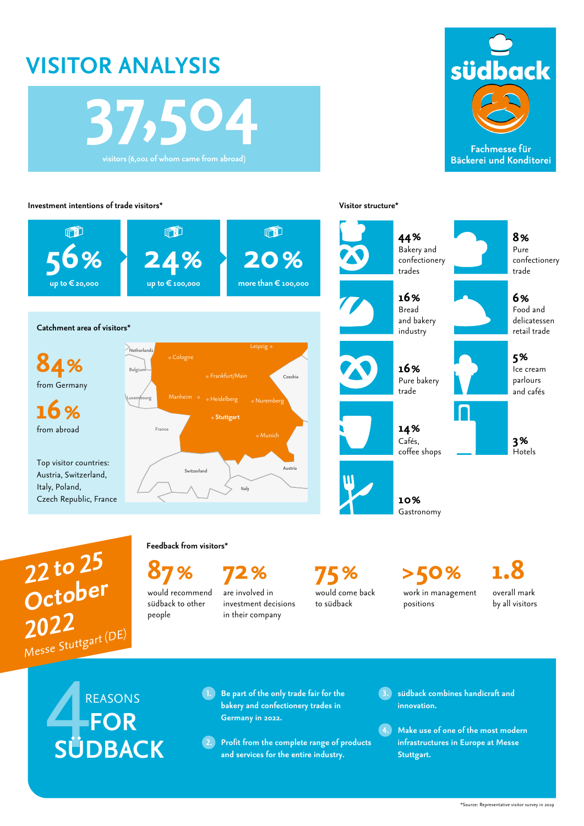## **VISITOR ANALYSIS**





Fachmesse für **Bäckerei und Konditorei** 

## **Investment intentions of trade visitors\* Visitor structure\***





**5%** Ice cream parlours and cafés **6%** Food and delicatessen retail trade **8%** Pure confectionery trade **16%** Pure bakery trade **16%** Bread and bakery industry **44%** Bakery and confectionery trades

**14%** Cafés, coffee shops

> **10%** Gastronomy

**3% Hotels** 

 **22 to 25 October 2022** Messe Stuttgart (DE) **Feedback from visitors\***

people

**87% 72% 75% >50% 1.8**

would recommend südback to other are involved in investment decisions in their company

would come back to südback

work in management positions

overall mark by all visitors

se Stuttga<br>All R REASONS  **FOR SÜDBACK**

- **1. Be part of the only trade fair for the bakery and confectionery trades in Germany in 2022.**
- **2. Profit from the complete range of products and services for the entire industry.**
- **3. südback combines handicraft and innovation.**
- **4. Make use of one of the most modern infrastructures in Europe at Messe Stuttgart.**